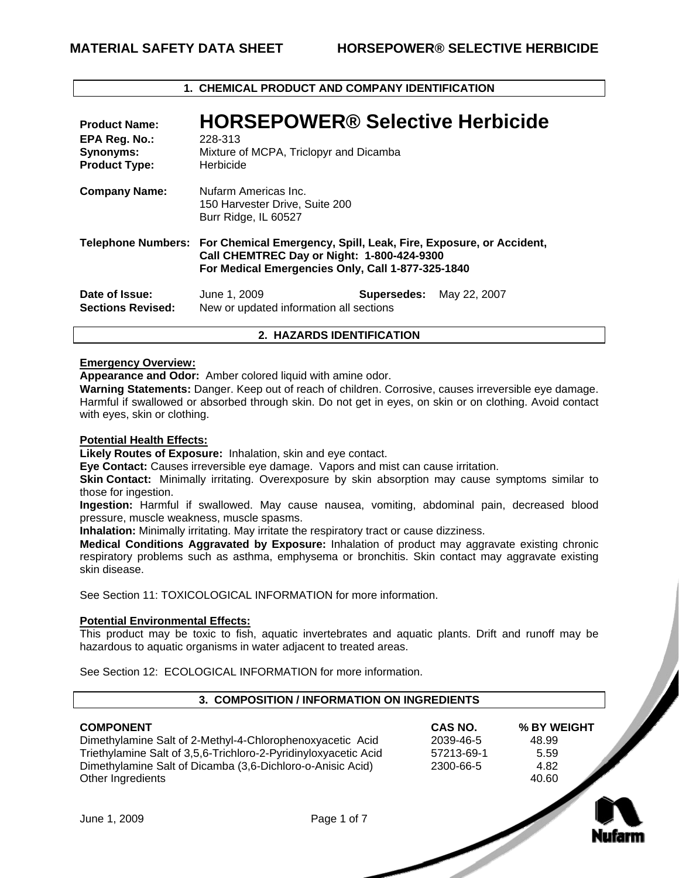# **1. CHEMICAL PRODUCT AND COMPANY IDENTIFICATION**

| <b>Product Name:</b><br>EPA Reg. No.:<br>Synonyms:<br><b>Product Type:</b> | <b>HORSEPOWER® Selective Herbicide</b><br>228-313<br>Mixture of MCPA, Triclopyr and Dicamba<br>Herbicide                                                                                |             |              |
|----------------------------------------------------------------------------|-----------------------------------------------------------------------------------------------------------------------------------------------------------------------------------------|-------------|--------------|
| <b>Company Name:</b>                                                       | Nufarm Americas Inc.<br>150 Harvester Drive, Suite 200<br>Burr Ridge, IL 60527                                                                                                          |             |              |
|                                                                            | Telephone Numbers: For Chemical Emergency, Spill, Leak, Fire, Exposure, or Accident,<br>Call CHEMTREC Day or Night: 1-800-424-9300<br>For Medical Emergencies Only, Call 1-877-325-1840 |             |              |
| Date of Issue:<br><b>Sections Revised:</b>                                 | June 1, 2009<br>New or updated information all sections                                                                                                                                 | Supersedes: | May 22, 2007 |

# **2. HAZARDS IDENTIFICATION**

#### **Emergency Overview:**

**Appearance and Odor:** Amber colored liquid with amine odor.

**Warning Statements:** Danger. Keep out of reach of children. Corrosive, causes irreversible eye damage. Harmful if swallowed or absorbed through skin. Do not get in eyes, on skin or on clothing. Avoid contact with eyes, skin or clothing.

## **Potential Health Effects:**

**Likely Routes of Exposure:** Inhalation, skin and eye contact.

**Eye Contact:** Causes irreversible eye damage. Vapors and mist can cause irritation.

**Skin Contact:** Minimally irritating. Overexposure by skin absorption may cause symptoms similar to those for ingestion.

**Ingestion:** Harmful if swallowed. May cause nausea, vomiting, abdominal pain, decreased blood pressure, muscle weakness, muscle spasms.

**Inhalation:** Minimally irritating. May irritate the respiratory tract or cause dizziness.

**Medical Conditions Aggravated by Exposure:** Inhalation of product may aggravate existing chronic respiratory problems such as asthma, emphysema or bronchitis. Skin contact may aggravate existing skin disease.

See Section 11: TOXICOLOGICAL INFORMATION for more information

# **Potential Environmental Effects:**

This product may be toxic to fish, aquatic invertebrates and aquatic plants. Drift and runoff may be hazardous to aquatic organisms in water adjacent to treated areas.

See Section 12: ECOLOGICAL INFORMATION for more information.

## **3. COMPOSITION / INFORMATION ON INGREDIENTS**

Dimethylamine Salt of 2-Methyl-4-Chlorophenoxyacetic Acid 2039-46-5 48.99 Triethylamine Salt of 3,5,6-Trichloro-2-Pyridinyloxyacetic Acid 57213-69-1 5.59<br>Dimethylamine Salt of Dicamba (3,6-Dichloro-o-Anisic Acid) 2300-66-5 4.82 Dimethylamine Salt of Dicamba (3,6-Dichloro-o-Anisic Acid) Other Ingredients 40.60

**COMPONENT CAS NO. % BY WEIGHT** 



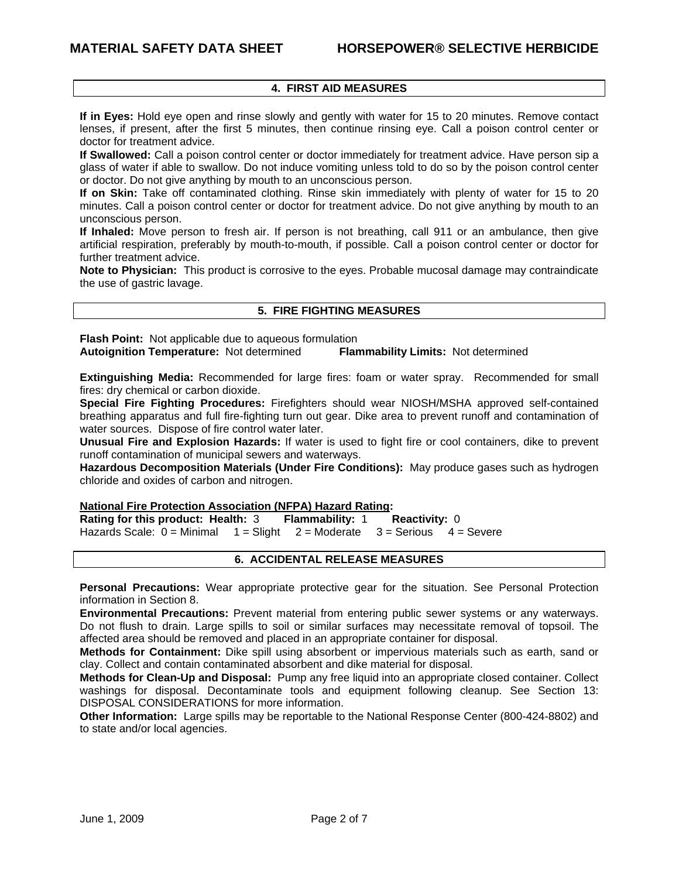# **4. FIRST AID MEASURES**

**If in Eyes:** Hold eye open and rinse slowly and gently with water for 15 to 20 minutes. Remove contact lenses, if present, after the first 5 minutes, then continue rinsing eye. Call a poison control center or doctor for treatment advice.

**If Swallowed:** Call a poison control center or doctor immediately for treatment advice. Have person sip a glass of water if able to swallow. Do not induce vomiting unless told to do so by the poison control center or doctor. Do not give anything by mouth to an unconscious person.

**If on Skin:** Take off contaminated clothing. Rinse skin immediately with plenty of water for 15 to 20 minutes. Call a poison control center or doctor for treatment advice. Do not give anything by mouth to an unconscious person.

**If Inhaled:** Move person to fresh air. If person is not breathing, call 911 or an ambulance, then give artificial respiration, preferably by mouth-to-mouth, if possible. Call a poison control center or doctor for further treatment advice.

**Note to Physician:** This product is corrosive to the eyes. Probable mucosal damage may contraindicate the use of gastric lavage.

#### **5. FIRE FIGHTING MEASURES**

**Flash Point:** Not applicable due to aqueous formulation **Autoignition Temperature:** Not determined **Flammability Limits:** Not determined

**Extinguishing Media:** Recommended for large fires: foam or water spray. Recommended for small fires: dry chemical or carbon dioxide.

**Special Fire Fighting Procedures:** Firefighters should wear NIOSH/MSHA approved self-contained breathing apparatus and full fire-fighting turn out gear. Dike area to prevent runoff and contamination of water sources. Dispose of fire control water later.

**Unusual Fire and Explosion Hazards:** If water is used to fight fire or cool containers, dike to prevent runoff contamination of municipal sewers and waterways.

**Hazardous Decomposition Materials (Under Fire Conditions):** May produce gases such as hydrogen chloride and oxides of carbon and nitrogen.

#### **National Fire Protection Association (NFPA) Hazard Rating:**

**Rating for this product: Health:** 3 **Flammability:** 1 **Reactivity:** 0 Hazards Scale:  $0 =$  Minimal  $1 =$  Slight  $2 =$  Moderate  $3 =$  Serious  $4 =$  Severe

## **6. ACCIDENTAL RELEASE MEASURES**

**Personal Precautions:** Wear appropriate protective gear for the situation. See Personal Protection information in Section 8.

**Environmental Precautions:** Prevent material from entering public sewer systems or any waterways. Do not flush to drain. Large spills to soil or similar surfaces may necessitate removal of topsoil. The affected area should be removed and placed in an appropriate container for disposal.

**Methods for Containment:** Dike spill using absorbent or impervious materials such as earth, sand or clay. Collect and contain contaminated absorbent and dike material for disposal.

**Methods for Clean-Up and Disposal:** Pump any free liquid into an appropriate closed container. Collect washings for disposal. Decontaminate tools and equipment following cleanup. See Section 13: DISPOSAL CONSIDERATIONS for more information.

**Other Information:** Large spills may be reportable to the National Response Center (800-424-8802) and to state and/or local agencies.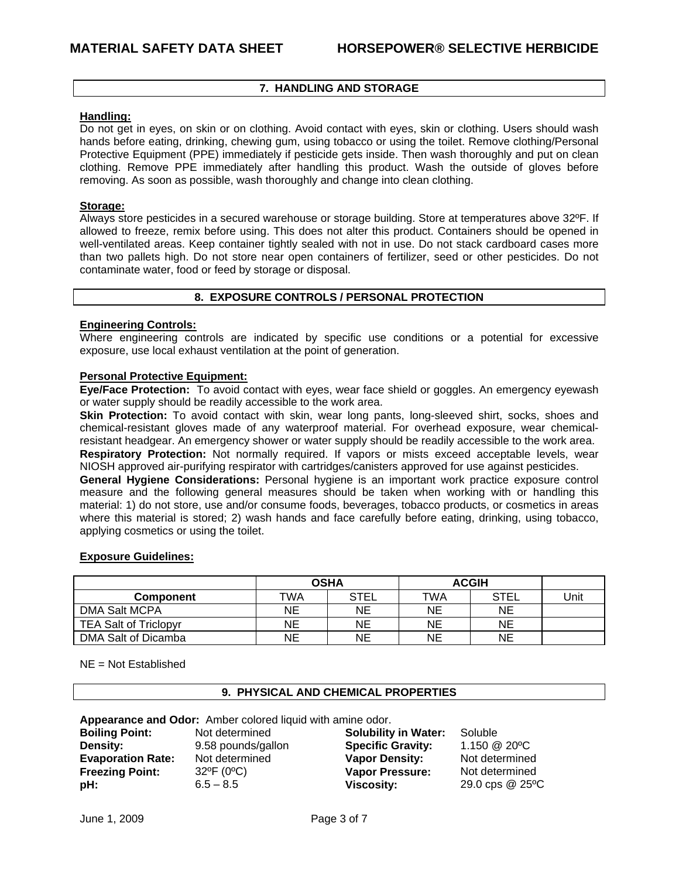# **7. HANDLING AND STORAGE**

## **Handling:**

Do not get in eyes, on skin or on clothing. Avoid contact with eyes, skin or clothing. Users should wash hands before eating, drinking, chewing gum, using tobacco or using the toilet. Remove clothing/Personal Protective Equipment (PPE) immediately if pesticide gets inside. Then wash thoroughly and put on clean clothing. Remove PPE immediately after handling this product. Wash the outside of gloves before removing. As soon as possible, wash thoroughly and change into clean clothing.

#### **Storage:**

Always store pesticides in a secured warehouse or storage building. Store at temperatures above 32ºF. If allowed to freeze, remix before using. This does not alter this product. Containers should be opened in well-ventilated areas. Keep container tightly sealed with not in use. Do not stack cardboard cases more than two pallets high. Do not store near open containers of fertilizer, seed or other pesticides. Do not contaminate water, food or feed by storage or disposal.

# **8. EXPOSURE CONTROLS / PERSONAL PROTECTION**

#### **Engineering Controls:**

Where engineering controls are indicated by specific use conditions or a potential for excessive exposure, use local exhaust ventilation at the point of generation.

#### **Personal Protective Equipment:**

**Eye/Face Protection:** To avoid contact with eyes, wear face shield or goggles. An emergency eyewash or water supply should be readily accessible to the work area.

**Skin Protection:** To avoid contact with skin, wear long pants, long-sleeved shirt, socks, shoes and chemical-resistant gloves made of any waterproof material. For overhead exposure, wear chemicalresistant headgear. An emergency shower or water supply should be readily accessible to the work area.

**Respiratory Protection:** Not normally required. If vapors or mists exceed acceptable levels, wear NIOSH approved air-purifying respirator with cartridges/canisters approved for use against pesticides.

**General Hygiene Considerations:** Personal hygiene is an important work practice exposure control measure and the following general measures should be taken when working with or handling this material: 1) do not store, use and/or consume foods, beverages, tobacco products, or cosmetics in areas where this material is stored; 2) wash hands and face carefully before eating, drinking, using tobacco, applying cosmetics or using the toilet.

## **Exposure Guidelines:**

|                              | <b>OSHA</b> |             | <b>ACGIH</b> |             |      |
|------------------------------|-------------|-------------|--------------|-------------|------|
| <b>Component</b>             | TWA         | <b>STEL</b> | TWA          | <b>STEL</b> | Unit |
| DMA Salt MCPA                | NE          | NE          | NE           | ΝE          |      |
| <b>TEA Salt of Triclopyr</b> | ΝE          | NE          | NE           | ΝE          |      |
| DMA Salt of Dicamba          | ΝE          | NE          | NE           | ΝE          |      |

NE = Not Established

## **9. PHYSICAL AND CHEMICAL PROPERTIES**

**Appearance and Odor:** Amber colored liquid with amine odor.

**Boiling Point:** Not determined **Solubility in Water:** Soluble<br> **Density:** 9.58 pounds/gallon **Specific Gravity:** 1.150 @ 20°C **Density:** 9.58 pounds/gallon **Specific Gravity: Evaporation Rate:** Not determined **Vapor Density:** Not determined<br> **Freezing Point:** 32<sup>o</sup>F (0<sup>o</sup>C) **Vapor Pressure:** Not determined **Freezing Point:** 32ºF (0ºC) **Vapor Pressure:** Not determined **pH:** 6.5 – 8.5 **Viscosity:** 29.0 cps @ 25ºC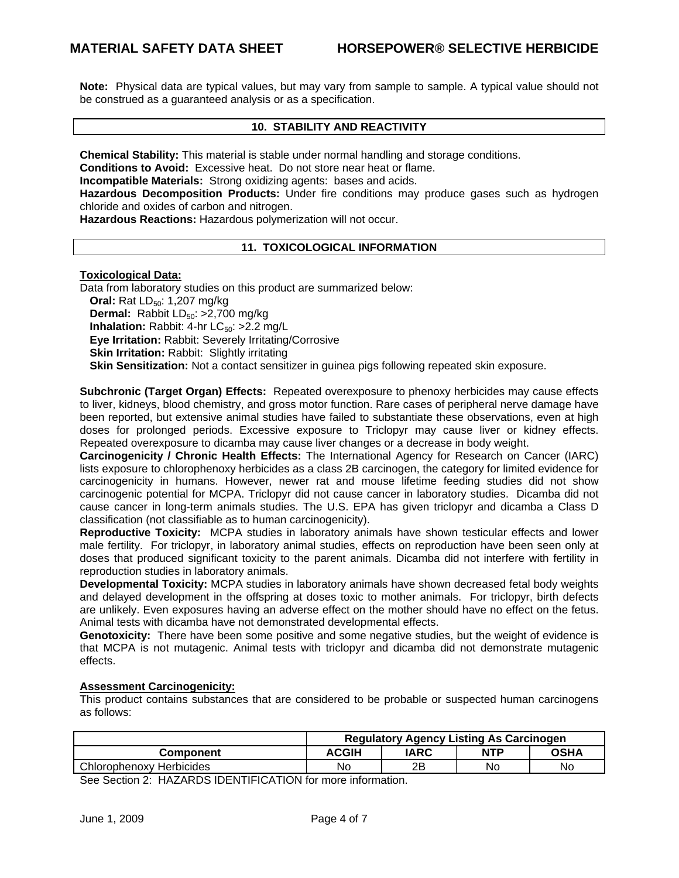**Note:** Physical data are typical values, but may vary from sample to sample. A typical value should not be construed as a guaranteed analysis or as a specification.

#### **10. STABILITY AND REACTIVITY**

**Chemical Stability:** This material is stable under normal handling and storage conditions.

**Conditions to Avoid:** Excessive heat. Do not store near heat or flame.

**Incompatible Materials:** Strong oxidizing agents: bases and acids.

**Hazardous Decomposition Products:** Under fire conditions may produce gases such as hydrogen chloride and oxides of carbon and nitrogen.

**Hazardous Reactions:** Hazardous polymerization will not occur.

## **11. TOXICOLOGICAL INFORMATION**

## **Toxicological Data:**

Data from laboratory studies on this product are summarized below: **Oral:** Rat LD<sub>50</sub>: 1,207 mg/kg **Dermal:** Rabbit LD<sub>50</sub>: >2,700 mg/kg **Inhalation:** Rabbit: 4-hr LC<sub>50</sub>: >2.2 mg/L **Eye Irritation:** Rabbit: Severely Irritating/Corrosive **Skin Irritation: Rabbit: Slightly irritating Skin Sensitization:** Not a contact sensitizer in guinea pigs following repeated skin exposure.

**Subchronic (Target Organ) Effects:** Repeated overexposure to phenoxy herbicides may cause effects to liver, kidneys, blood chemistry, and gross motor function. Rare cases of peripheral nerve damage have been reported, but extensive animal studies have failed to substantiate these observations, even at high doses for prolonged periods. Excessive exposure to Triclopyr may cause liver or kidney effects. Repeated overexposure to dicamba may cause liver changes or a decrease in body weight.

**Carcinogenicity / Chronic Health Effects:** The International Agency for Research on Cancer (IARC) lists exposure to chlorophenoxy herbicides as a class 2B carcinogen, the category for limited evidence for carcinogenicity in humans. However, newer rat and mouse lifetime feeding studies did not show carcinogenic potential for MCPA. Triclopyr did not cause cancer in laboratory studies. Dicamba did not cause cancer in long-term animals studies. The U.S. EPA has given triclopyr and dicamba a Class D classification (not classifiable as to human carcinogenicity).

**Reproductive Toxicity:** MCPA studies in laboratory animals have shown testicular effects and lower male fertility. For triclopyr, in laboratory animal studies, effects on reproduction have been seen only at doses that produced significant toxicity to the parent animals. Dicamba did not interfere with fertility in reproduction studies in laboratory animals.

**Developmental Toxicity:** MCPA studies in laboratory animals have shown decreased fetal body weights and delayed development in the offspring at doses toxic to mother animals. For triclopyr, birth defects are unlikely. Even exposures having an adverse effect on the mother should have no effect on the fetus. Animal tests with dicamba have not demonstrated developmental effects.

**Genotoxicity:** There have been some positive and some negative studies, but the weight of evidence is that MCPA is not mutagenic. Animal tests with triclopyr and dicamba did not demonstrate mutagenic effects.

## **Assessment Carcinogenicity:**

This product contains substances that are considered to be probable or suspected human carcinogens as follows:

|                          | <b>Regulatory Agency Listing As Carcinogen</b> |      |            |      |
|--------------------------|------------------------------------------------|------|------------|------|
| <b>Component</b>         | <b>ACGIH</b>                                   | IARC | <b>NTP</b> | OSHA |
| Chlorophenoxy Herbicides | No                                             | 2Β   | No         | No   |

See Section 2: HAZARDS IDENTIFICATION for more information.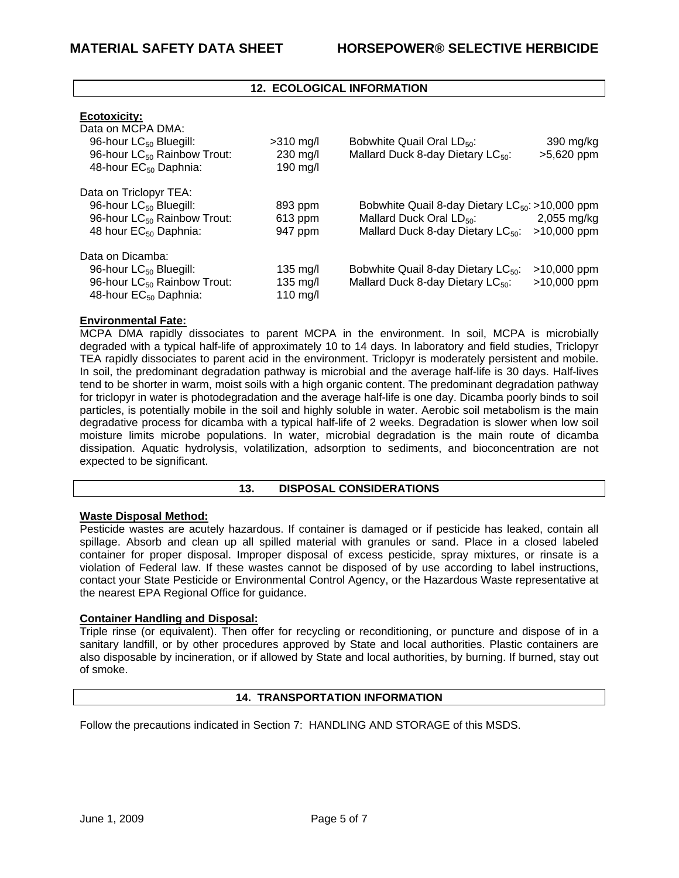# **12. ECOLOGICAL INFORMATION**

## **Ecotoxicity:**

| Data on MCPA DMA:<br>96-hour LC <sub>50</sub> Bluegill:<br>96-hour LC <sub>50</sub> Rainbow Trout:<br>48-hour EC <sub>50</sub> Daphnia:      | $>310$ mg/l<br>$230 \text{ mg/l}$<br>190 mg/l        | Bobwhite Quail Oral LD <sub>50</sub> :<br>Mallard Duck 8-day Dietary LC <sub>50</sub> :                                                | 390 mg/kg<br>$>5,620$ ppm      |
|----------------------------------------------------------------------------------------------------------------------------------------------|------------------------------------------------------|----------------------------------------------------------------------------------------------------------------------------------------|--------------------------------|
| Data on Triclopyr TEA:<br>96-hour LC <sub>50</sub> Bluegill:<br>96-hour LC <sub>50</sub> Rainbow Trout:<br>48 hour EC <sub>50</sub> Daphnia: | 893 ppm<br>$613$ ppm<br>947 ppm                      | Bobwhite Quail 8-day Dietary $LC_{50}$ : >10,000 ppm<br>Mallard Duck Oral LD <sub>50</sub> :<br>Mallard Duck 8-day Dietary $LC_{50}$ : | $2,055$ mg/kg<br>$>10,000$ ppm |
| Data on Dicamba:<br>96-hour LC <sub>50</sub> Bluegill:<br>96-hour LC <sub>50</sub> Rainbow Trout:<br>48-hour EC <sub>50</sub> Daphnia:       | $135 \text{ mg/l}$<br>$135 \text{ mg/l}$<br>110 mg/l | Bobwhite Quail 8-day Dietary LC <sub>50</sub> :<br>Mallard Duck 8-day Dietary LC <sub>50</sub> :                                       | $>10,000$ ppm<br>$>10,000$ ppm |

## **Environmental Fate:**

MCPA DMA rapidly dissociates to parent MCPA in the environment. In soil, MCPA is microbially degraded with a typical half-life of approximately 10 to 14 days. In laboratory and field studies, Triclopyr TEA rapidly dissociates to parent acid in the environment. Triclopyr is moderately persistent and mobile. In soil, the predominant degradation pathway is microbial and the average half-life is 30 days. Half-lives tend to be shorter in warm, moist soils with a high organic content. The predominant degradation pathway for triclopyr in water is photodegradation and the average half-life is one day. Dicamba poorly binds to soil particles, is potentially mobile in the soil and highly soluble in water. Aerobic soil metabolism is the main degradative process for dicamba with a typical half-life of 2 weeks. Degradation is slower when low soil moisture limits microbe populations. In water, microbial degradation is the main route of dicamba dissipation. Aquatic hydrolysis, volatilization, adsorption to sediments, and bioconcentration are not expected to be significant.

## **13. DISPOSAL CONSIDERATIONS**

## **Waste Disposal Method:**

Pesticide wastes are acutely hazardous. If container is damaged or if pesticide has leaked, contain all spillage. Absorb and clean up all spilled material with granules or sand. Place in a closed labeled container for proper disposal. Improper disposal of excess pesticide, spray mixtures, or rinsate is a violation of Federal law. If these wastes cannot be disposed of by use according to label instructions, contact your State Pesticide or Environmental Control Agency, or the Hazardous Waste representative at the nearest EPA Regional Office for guidance.

## **Container Handling and Disposal:**

Triple rinse (or equivalent). Then offer for recycling or reconditioning, or puncture and dispose of in a sanitary landfill, or by other procedures approved by State and local authorities. Plastic containers are also disposable by incineration, or if allowed by State and local authorities, by burning. If burned, stay out of smoke.

## **14. TRANSPORTATION INFORMATION**

Follow the precautions indicated in Section 7: HANDLING AND STORAGE of this MSDS.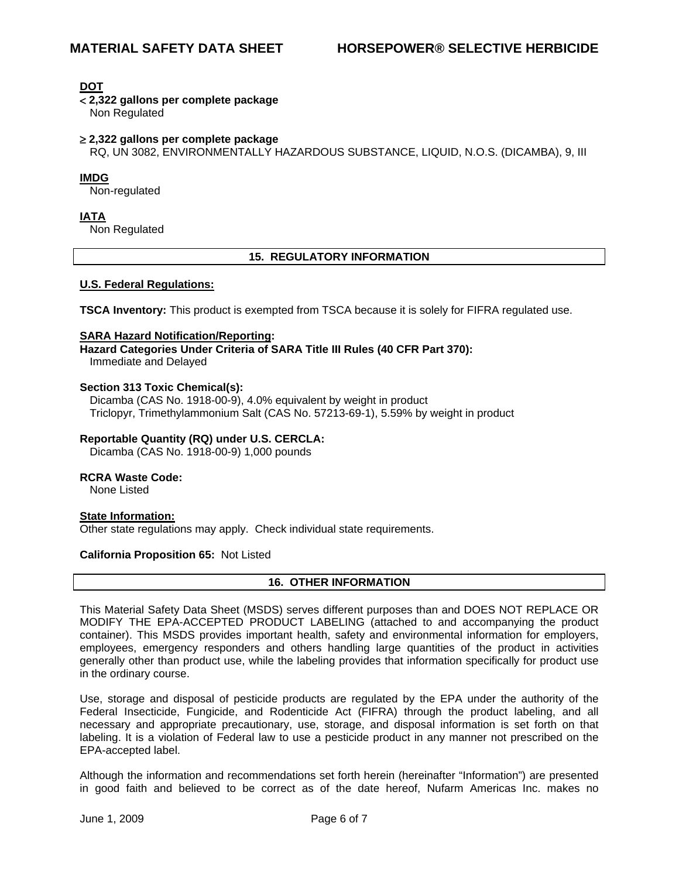**DOT**

< **2,322 gallons per complete package** 

Non Regulated

## ≥ **2,322 gallons per complete package**

RQ, UN 3082, ENVIRONMENTALLY HAZARDOUS SUBSTANCE, LIQUID, N.O.S. (DICAMBA), 9, III

## **IMDG**

Non-regulated

**IATA**

Non Regulated

## **15. REGULATORY INFORMATION**

#### **U.S. Federal Regulations:**

**TSCA Inventory:** This product is exempted from TSCA because it is solely for FIFRA regulated use.

#### **SARA Hazard Notification/Reporting:**

**Hazard Categories Under Criteria of SARA Title III Rules (40 CFR Part 370):** Immediate and Delayed

#### **Section 313 Toxic Chemical(s):**

Dicamba (CAS No. 1918-00-9), 4.0% equivalent by weight in product Triclopyr, Trimethylammonium Salt (CAS No. 57213-69-1), 5.59% by weight in product

## **Reportable Quantity (RQ) under U.S. CERCLA:**

Dicamba (CAS No. 1918-00-9) 1,000 pounds

#### **RCRA Waste Code:**

None Listed

# **State Information:**

Other state regulations may apply. Check individual state requirements.

## **California Proposition 65:** Not Listed

## **16. OTHER INFORMATION**

This Material Safety Data Sheet (MSDS) serves different purposes than and DOES NOT REPLACE OR MODIFY THE EPA-ACCEPTED PRODUCT LABELING (attached to and accompanying the product container). This MSDS provides important health, safety and environmental information for employers, employees, emergency responders and others handling large quantities of the product in activities generally other than product use, while the labeling provides that information specifically for product use in the ordinary course.

Use, storage and disposal of pesticide products are regulated by the EPA under the authority of the Federal Insecticide, Fungicide, and Rodenticide Act (FIFRA) through the product labeling, and all necessary and appropriate precautionary, use, storage, and disposal information is set forth on that labeling. It is a violation of Federal law to use a pesticide product in any manner not prescribed on the EPA-accepted label.

Although the information and recommendations set forth herein (hereinafter "Information") are presented in good faith and believed to be correct as of the date hereof, Nufarm Americas Inc. makes no